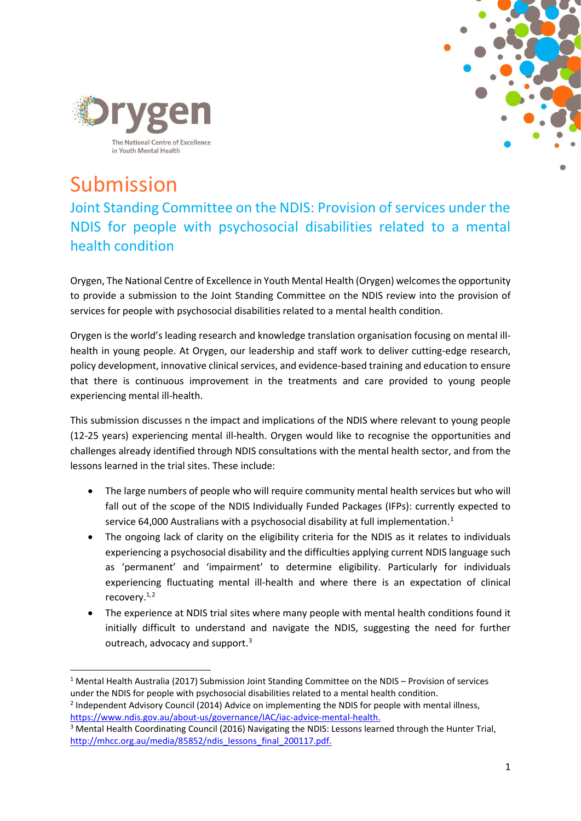



# Submission

Joint Standing Committee on the NDIS: Provision of services under the NDIS for people with psychosocial disabilities related to a mental health condition

Orygen, The National Centre of Excellence in Youth Mental Health (Orygen) welcomes the opportunity to provide a submission to the Joint Standing Committee on the NDIS review into the provision of services for people with psychosocial disabilities related to a mental health condition.

Orygen is the world's leading research and knowledge translation organisation focusing on mental illhealth in young people. At Orygen, our leadership and staff work to deliver cutting-edge research, policy development, innovative clinical services, and evidence-based training and education to ensure that there is continuous improvement in the treatments and care provided to young people experiencing mental ill-health.

This submission discusses n the impact and implications of the NDIS where relevant to young people (12-25 years) experiencing mental ill-health. Orygen would like to recognise the opportunities and challenges already identified through NDIS consultations with the mental health sector, and from the lessons learned in the trial sites. These include:

- The large numbers of people who will require community mental health services but who will fall out of the scope of the NDIS Individually Funded Packages (IFPs): currently expected to service 64,000 Australians with a psychosocial disability at full implementation.<sup>[1](#page-0-0)</sup>
- The ongoing lack of clarity on the eligibility criteria for the NDIS as it relates to individuals experiencing a psychosocial disability and the difficulties applying current NDIS language such as 'permanent' and 'impairment' to determine eligibility. Particularly for individuals experiencing fluctuating mental ill-health and where there is an expectation of clinical recovery.<sup>1,[2](#page-0-1)</sup>
- The experience at NDIS trial sites where many people with mental health conditions found it initially difficult to understand and navigate the NDIS, suggesting the need for further outreach, advocacy and support.<sup>[3](#page-0-2)</sup>

<span id="page-0-1"></span><sup>2</sup> Independent Advisory Council (2014) Advice on implementing the NDIS for people with mental illness, [https://www.ndis.gov.au/about-us/governance/IAC/iac-advice-mental-health.](https://www.ndis.gov.au/about-us/governance/IAC/iac-advice-mental-health)

<span id="page-0-0"></span> <sup>1</sup> Mental Health Australia (2017) Submission Joint Standing Committee on the NDIS – Provision of services under the NDIS for people with psychosocial disabilities related to a mental health condition.

<span id="page-0-2"></span><sup>&</sup>lt;sup>3</sup> Mental Health Coordinating Council (2016) Navigating the NDIS: Lessons learned through the Hunter Trial, [http://mhcc.org.au/media/85852/ndis\\_lessons\\_final\\_200117.pdf.](http://mhcc.org.au/media/85852/ndis_lessons_final_200117.pdf)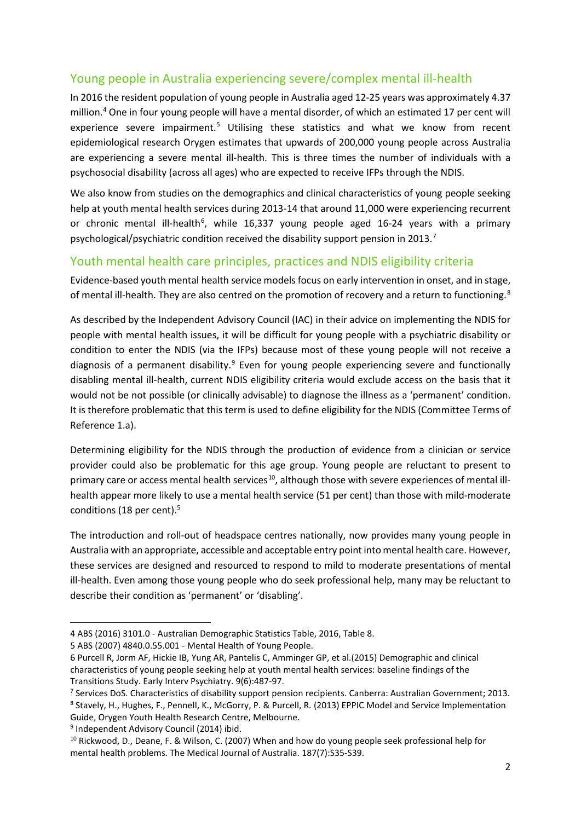# Young people in Australia experiencing severe/complex mental ill-health

In 2016 the resident population of young people in Australia aged 12-25 years was approximately 4.37 million. [4](#page-1-0) One in four young people will have a mental disorder, of which an estimated 17 per cent will experience severe impairment.<sup>[5](#page-1-1)</sup> Utilising these statistics and what we know from recent epidemiological research Orygen estimates that upwards of 200,000 young people across Australia are experiencing a severe mental ill-health. This is three times the number of individuals with a psychosocial disability (across all ages) who are expected to receive IFPs through the NDIS.

We also know from studies on the demographics and clinical characteristics of young people seeking help at youth mental health services during 2013-14 that around 11,000 were experiencing recurrent or chronic mental ill-health<sup>[6](#page-1-2)</sup>, while 16,337 young people aged 16-24 years with a primary psychological/psychiatric condition received the disability support pension in 2013.[7](#page-1-3)

## Youth mental health care principles, practices and NDIS eligibility criteria

Evidence-based youth mental health service models focus on early intervention in onset, and in stage, of mental ill-health. They are also centred on the promotion of recovery and a return to functioning.<sup>[8](#page-1-4)</sup>

As described by the Independent Advisory Council (IAC) in their advice on implementing the NDIS for people with mental health issues, it will be difficult for young people with a psychiatric disability or condition to enter the NDIS (via the IFPs) because most of these young people will not receive a diagnosis of a permanent disability.<sup>[9](#page-1-5)</sup> Even for young people experiencing severe and functionally disabling mental ill-health, current NDIS eligibility criteria would exclude access on the basis that it would not be not possible (or clinically advisable) to diagnose the illness as a 'permanent' condition. It is therefore problematic that this term is used to define eligibility for the NDIS (Committee Terms of Reference 1.a).

Determining eligibility for the NDIS through the production of evidence from a clinician or service provider could also be problematic for this age group. Young people are reluctant to present to primary care or access mental health services<sup>[10](#page-1-6)</sup>, although those with severe experiences of mental illhealth appear more likely to use a mental health service (51 per cent) than those with mild-moderate conditions (18 per cent).<sup>5</sup>

The introduction and roll-out of headspace centres nationally, now provides many young people in Australia with an appropriate, accessible and acceptable entry point into mental health care. However, these services are designed and resourced to respond to mild to moderate presentations of mental ill-health. Even among those young people who do seek professional help, many may be reluctant to describe their condition as 'permanent' or 'disabling'.

<span id="page-1-5"></span><sup>9</sup> Independent Advisory Council (2014) ibid.

<span id="page-1-0"></span> $\overline{a}$ 4 ABS (2016) 3101.0 - Australian Demographic Statistics Table, 2016, Table 8.

<span id="page-1-1"></span><sup>5</sup> ABS (2007) 4840.0.55.001 - Mental Health of Young People.

<span id="page-1-2"></span><sup>6</sup> Purcell R, Jorm AF, Hickie IB, Yung AR, Pantelis C, Amminger GP, et al.(2015) Demographic and clinical characteristics of young people seeking help at youth mental health services: baseline findings of the Transitions Study. Early Interv Psychiatry. 9(6):487-97.

<span id="page-1-4"></span><span id="page-1-3"></span><sup>&</sup>lt;sup>7</sup> Services DoS. Characteristics of disability support pension recipients. Canberra: Australian Government; 2013. <sup>8</sup> Stavely, H., Hughes, F., Pennell, K., McGorry, P. & Purcell, R. (2013) EPPIC Model and Service Implementation Guide, Orygen Youth Health Research Centre, Melbourne.

<span id="page-1-6"></span><sup>&</sup>lt;sup>10</sup> Rickwood, D., Deane, F. & Wilson, C. (2007) When and how do young people seek professional help for mental health problems. The Medical Journal of Australia. 187(7):S35-S39.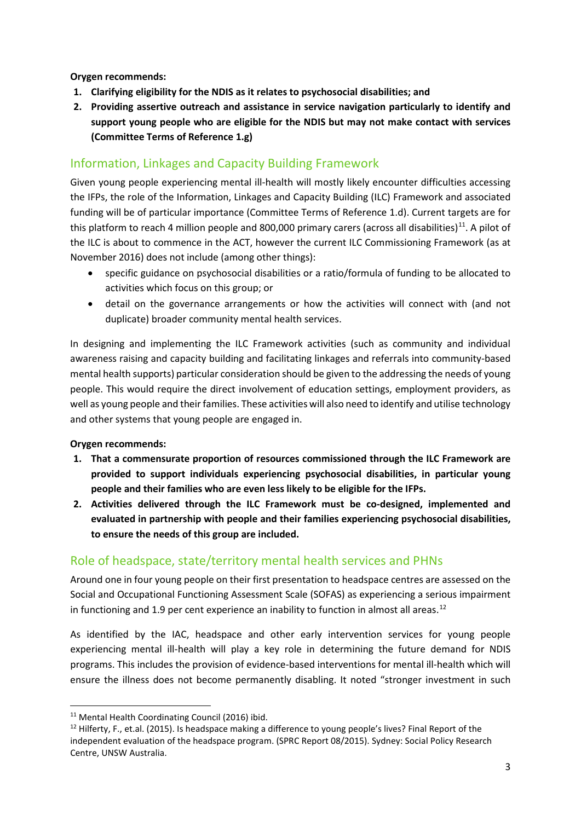**Orygen recommends:**

- **1. Clarifying eligibility for the NDIS as it relates to psychosocial disabilities; and**
- **2. Providing assertive outreach and assistance in service navigation particularly to identify and support young people who are eligible for the NDIS but may not make contact with services (Committee Terms of Reference 1.g)**

### Information, Linkages and Capacity Building Framework

Given young people experiencing mental ill-health will mostly likely encounter difficulties accessing the IFPs, the role of the Information, Linkages and Capacity Building (ILC) Framework and associated funding will be of particular importance (Committee Terms of Reference 1.d). Current targets are for this platform to reach 4 million people and 800,000 primary carers (across all disabilities)<sup>[11](#page-2-0)</sup>. A pilot of the ILC is about to commence in the ACT, however the current ILC Commissioning Framework (as at November 2016) does not include (among other things):

- specific guidance on psychosocial disabilities or a ratio/formula of funding to be allocated to activities which focus on this group; or
- detail on the governance arrangements or how the activities will connect with (and not duplicate) broader community mental health services.

In designing and implementing the ILC Framework activities (such as community and individual awareness raising and capacity building and facilitating linkages and referrals into community-based mental health supports) particular consideration should be given to the addressing the needs of young people. This would require the direct involvement of education settings, employment providers, as well as young people and their families. These activities will also need to identify and utilise technology and other systems that young people are engaged in.

#### **Orygen recommends:**

- **1. That a commensurate proportion of resources commissioned through the ILC Framework are provided to support individuals experiencing psychosocial disabilities, in particular young people and their families who are even less likely to be eligible for the IFPs.**
- **2. Activities delivered through the ILC Framework must be co-designed, implemented and evaluated in partnership with people and their families experiencing psychosocial disabilities, to ensure the needs of this group are included.**

# Role of headspace, state/territory mental health services and PHNs

Around one in four young people on their first presentation to headspace centres are assessed on the Social and Occupational Functioning Assessment Scale (SOFAS) as experiencing a serious impairment in functioning and 1.9 per cent experience an inability to function in almost all areas.<sup>[12](#page-2-1)</sup>

As identified by the IAC, headspace and other early intervention services for young people experiencing mental ill-health will play a key role in determining the future demand for NDIS programs. This includes the provision of evidence-based interventions for mental ill-health which will ensure the illness does not become permanently disabling. It noted "stronger investment in such

<span id="page-2-0"></span> <sup>11</sup> Mental Health Coordinating Council (2016) ibid.

<span id="page-2-1"></span><sup>&</sup>lt;sup>12</sup> Hilferty, F., et.al. (2015). Is headspace making a difference to young people's lives? Final Report of the independent evaluation of the headspace program. (SPRC Report 08/2015). Sydney: Social Policy Research Centre, UNSW Australia.